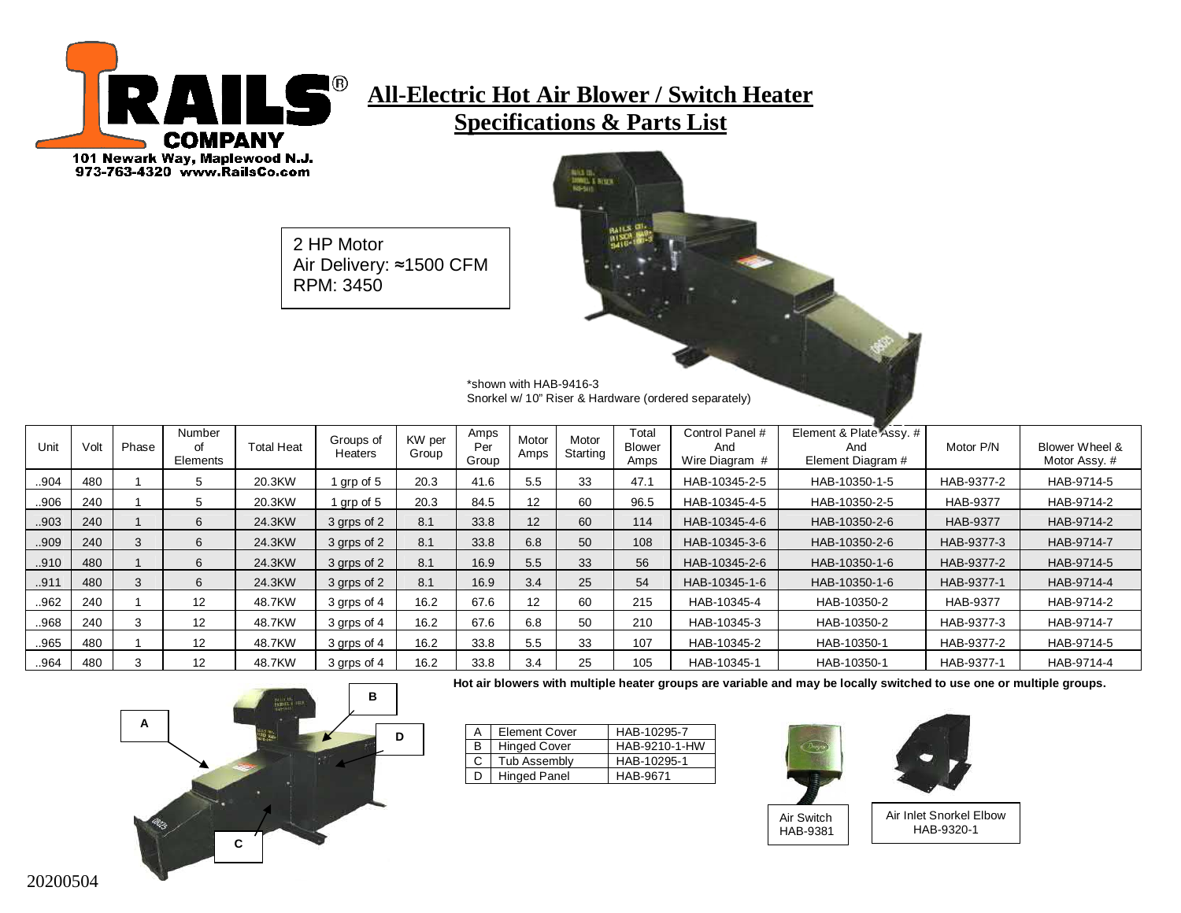

# **All-Electric Hot Air Blower / Switch Heater Specifications & Parts List**

INTERNATIONAL<br>TANNATION<br>TANGANIT

2 HP Motor Air Delivery: ≈1500 CFM RPM: 3450

> \*shown with HAB-9416-3 Snorkel w/ 10" Riser & Hardware (ordered separately)

| Unit | Volt | Phase | Number<br>οf<br>Elements | <b>Total Heat</b> | Groups of<br>Heaters | KW per<br>Group | Amps<br>Per<br>Group | Motor<br>Amps   | Motor<br>Starting | Total<br><b>Blower</b><br>Amps | Control Panel #<br>And<br>Wire Diagram # | Element & Plate Assy. #<br>And<br>Element Diagram # | Motor P/N       | Blower Wheel &<br>Motor Assy. # |
|------|------|-------|--------------------------|-------------------|----------------------|-----------------|----------------------|-----------------|-------------------|--------------------------------|------------------------------------------|-----------------------------------------------------|-----------------|---------------------------------|
| 904  | 480  |       | 5                        | 20.3KW            | grp of 5             | 20.3            | 41.6                 | 5.5             | 33                | 47.1                           | HAB-10345-2-5                            | HAB-10350-1-5                                       | HAB-9377-2      | HAB-9714-5                      |
| 906  | 240  |       | 5                        | 20.3KW            | grp of 5             | 20.3            | 84.5                 | 12              | 60                | 96.5                           | HAB-10345-4-5                            | HAB-10350-2-5                                       | <b>HAB-9377</b> | HAB-9714-2                      |
| 903  | 240  |       | 6                        | 24.3KW            | 3 grps of 2          | 8.1             | 33.8                 | 12 <sup>°</sup> | 60                | 114                            | HAB-10345-4-6                            | HAB-10350-2-6                                       | <b>HAB-9377</b> | HAB-9714-2                      |
| 909  | 240  |       | 6                        | 24.3KW            | 3 grps of 2          | 8.1             | 33.8                 | 6.8             | 50                | 108                            | HAB-10345-3-6                            | HAB-10350-2-6                                       | HAB-9377-3      | HAB-9714-7                      |
| .910 | 480  |       | 6                        | 24.3KW            | 3 grps of 2          | 8.1             | 16.9                 | 5.5             | 33                | 56                             | HAB-10345-2-6                            | HAB-10350-1-6                                       | HAB-9377-2      | HAB-9714-5                      |
| 911  | 480  |       | 6                        | 24.3KW            | 3 grps of 2          | 8.1             | 16.9                 | 3.4             | 25                | 54                             | HAB-10345-1-6                            | HAB-10350-1-6                                       | HAB-9377-1      | HAB-9714-4                      |
| 962  | 240  |       | 12                       | 48.7KW            | 3 grps of 4          | 16.2            | 67.6                 | 12              | 60                | 215                            | HAB-10345-4                              | HAB-10350-2                                         | <b>HAB-9377</b> | HAB-9714-2                      |
| 968  | 240  |       | $12 \overline{ }$        | 48.7KW            | 3 grps of 4          | 16.2            | 67.6                 | 6.8             | 50                | 210                            | HAB-10345-3                              | HAB-10350-2                                         | HAB-9377-3      | HAB-9714-7                      |
| 965  | 480  |       | $12 \overline{ }$        | 48.7KW            | 3 grps of 4          | 16.2            | 33.8                 | 5.5             | 33                | 107                            | HAB-10345-2                              | HAB-10350-1                                         | HAB-9377-2      | HAB-9714-5                      |
| 964  | 480  |       | 12                       | 48.7KW            | 3 grps of 4          | 16.2            | 33.8                 | 3.4             | 25                | 105                            | HAB-10345-1                              | HAB-10350-1                                         | HAB-9377-1      | HAB-9714-4                      |

**Hot air blowers with multiple heater groups are variable and may be locally switched to use one or multiple groups.**

HAB-9381

|  | <b>Element Cover</b> | HAB-10295-7   |
|--|----------------------|---------------|
|  | <b>Hinged Cover</b>  | HAB-9210-1-HW |
|  | Tub Assembly         | HAB-10295-1   |
|  | <b>Hinged Panel</b>  | HAB-9671      |



Air Inlet Snorkel Elbow HAB-9320-1

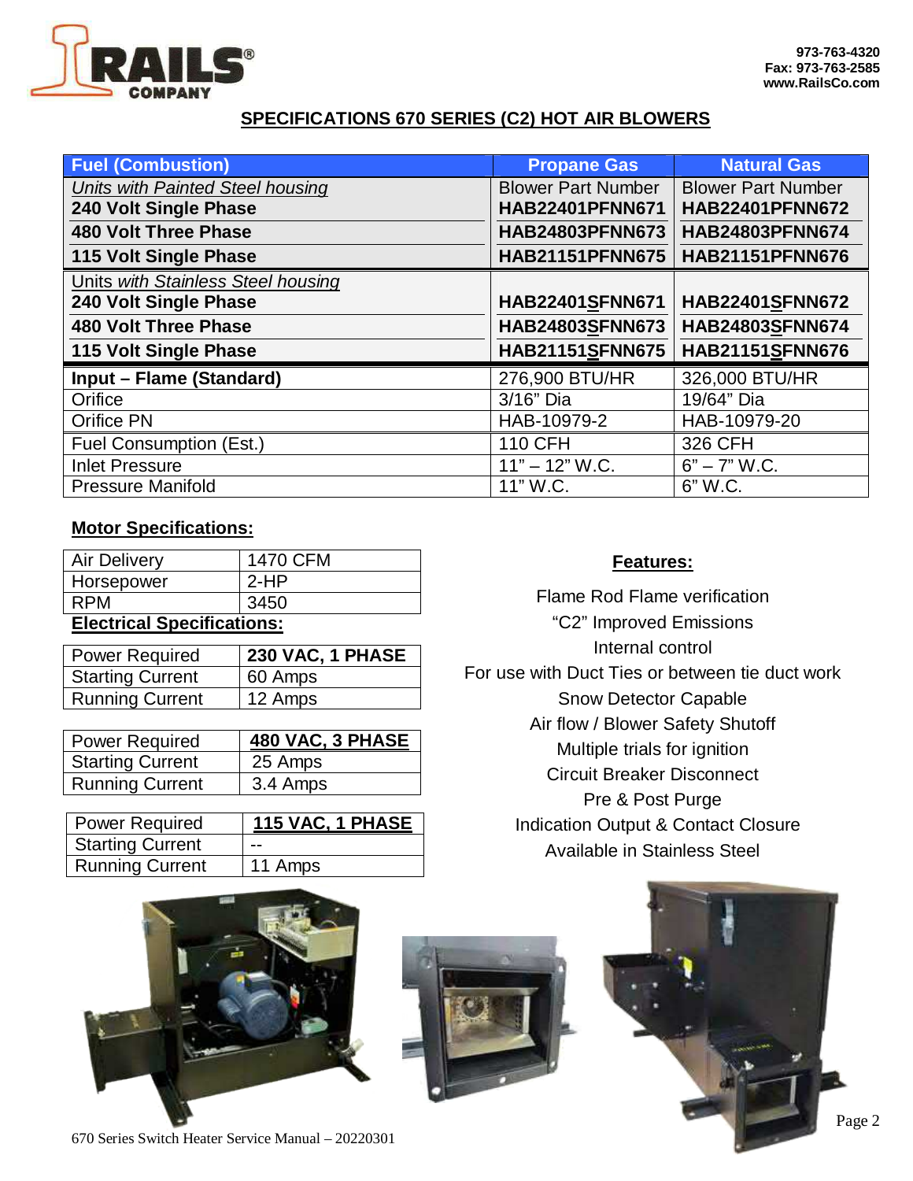

#### **SPECIFICATIONS 670 SERIES (C2) HOT AIR BLOWERS**

| <b>Fuel (Combustion)</b>           | <b>Propane Gas</b>        | <b>Natural Gas</b>        |
|------------------------------------|---------------------------|---------------------------|
| Units with Painted Steel housing   | <b>Blower Part Number</b> | <b>Blower Part Number</b> |
| 240 Volt Single Phase              | <b>HAB22401PFNN671</b>    | <b>HAB22401PFNN672</b>    |
| <b>480 Volt Three Phase</b>        | HAB24803PFNN673           | <b>HAB24803PFNN674</b>    |
| 115 Volt Single Phase              | <b>HAB21151PFNN675</b>    | <b>HAB21151PFNN676</b>    |
| Units with Stainless Steel housing |                           |                           |
| 240 Volt Single Phase              | HAB22401SFNN671           | HAB22401SFNN672           |
| <b>480 Volt Three Phase</b>        | <b>HAB24803SFNN673</b>    | <b>HAB24803SFNN674</b>    |
| 115 Volt Single Phase              | <b>HAB21151SFNN675</b>    | <b>HAB21151SFNN676</b>    |
| Input - Flame (Standard)           | 276,900 BTU/HR            | 326,000 BTU/HR            |
| Orifice                            | 3/16" Dia                 | 19/64" Dia                |
| <b>Orifice PN</b>                  | HAB-10979-2               | HAB-10979-20              |
| Fuel Consumption (Est.)            | <b>110 CFH</b>            | 326 CFH                   |
| <b>Inlet Pressure</b>              | $11" - 12" W.C.$          | $6" - 7" W.C.$            |
| <b>Pressure Manifold</b>           | 11" W.C.                  | 6" W.C.                   |

#### **Motor Specifications:**

| <b>Elgetrieal Specifications:</b> |          |  |
|-----------------------------------|----------|--|
| <b>RPM</b>                        | 3450     |  |
| Horsepower                        | $2-HP$   |  |
| <b>Air Delivery</b>               | 1470 CFM |  |
|                                   |          |  |

#### **Electrical Specifications:**

| <b>Power Required</b>   | 230 VAC, 1 PHASE |
|-------------------------|------------------|
| <b>Starting Current</b> | 60 Amps          |
| <b>Running Current</b>  | 12 Amps          |

| <b>Power Required</b>   | 480 VAC, 3 PHASE |
|-------------------------|------------------|
| <b>Starting Current</b> | 25 Amps          |
| <b>Running Current</b>  | 3.4 Amps         |

| <b>Power Required</b>   | 115 VAC, 1 PHASE |
|-------------------------|------------------|
| <b>Starting Current</b> | --               |
| <b>Running Current</b>  | 11 Amps          |

#### **Features:**

Flame Rod Flame verification "C2" Improved Emissions Internal control For use with Duct Ties or between tie duct work Snow Detector Capable Air flow / Blower Safety Shutoff Multiple trials for ignition Circuit Breaker Disconnect Pre & Post Purge Indication Output & Contact Closure Available in Stainless Steel



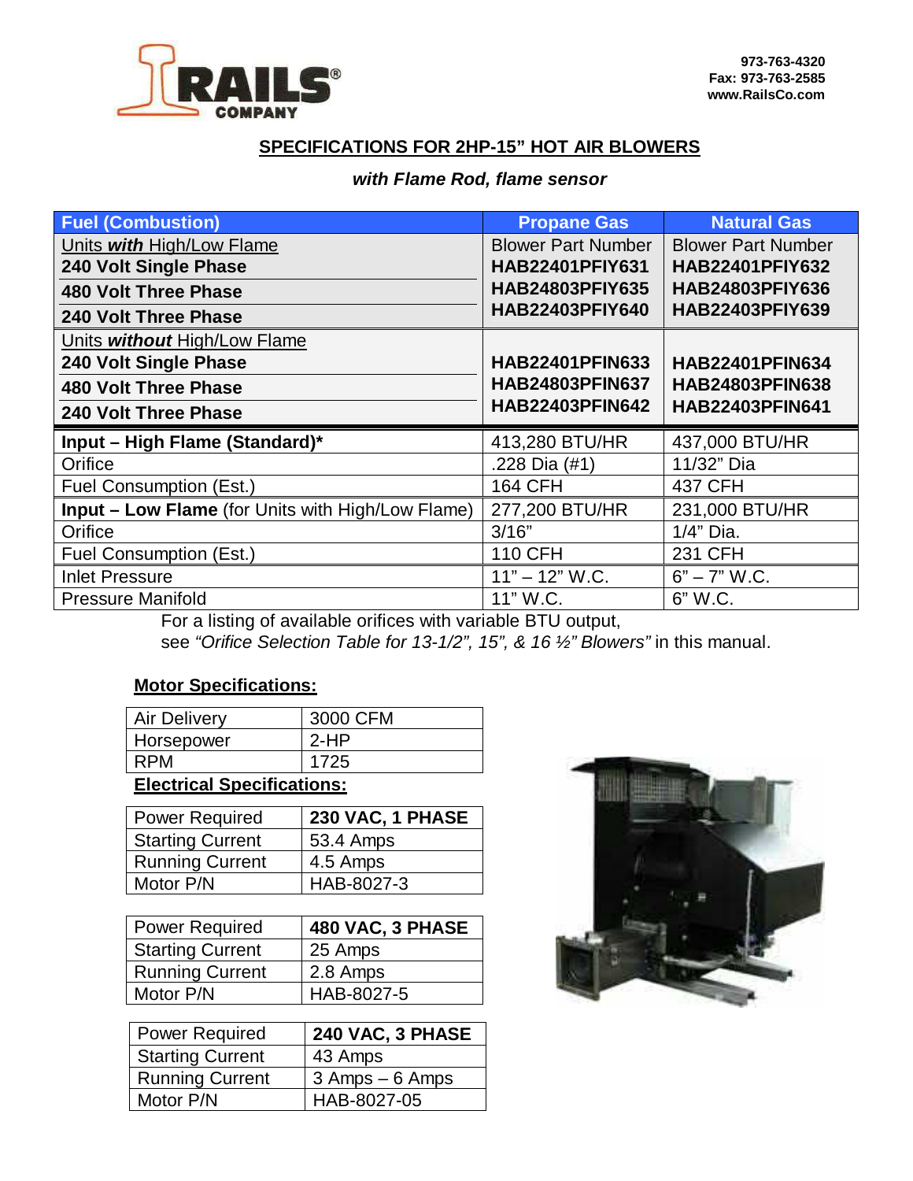

#### **SPECIFICATIONS FOR 2HP-15" HOT AIR BLOWERS**

#### *with Flame Rod, flame sensor*

| <b>Fuel (Combustion)</b>                                 | <b>Propane Gas</b>        | <b>Natural Gas</b>        |
|----------------------------------------------------------|---------------------------|---------------------------|
| Units with High/Low Flame                                | <b>Blower Part Number</b> | <b>Blower Part Number</b> |
| 240 Volt Single Phase                                    | <b>HAB22401PFIY631</b>    | <b>HAB22401PFIY632</b>    |
| <b>480 Volt Three Phase</b>                              | <b>HAB24803PFIY635</b>    | <b>HAB24803PFIY636</b>    |
| <b>240 Volt Three Phase</b>                              | <b>HAB22403PFIY640</b>    | <b>HAB22403PFIY639</b>    |
| Units without High/Low Flame                             |                           |                           |
| 240 Volt Single Phase                                    | <b>HAB22401PFIN633</b>    | <b>HAB22401PFIN634</b>    |
| <b>480 Volt Three Phase</b>                              | <b>HAB24803PFIN637</b>    | <b>HAB24803PFIN638</b>    |
| <b>240 Volt Three Phase</b>                              | <b>HAB22403PFIN642</b>    | <b>HAB22403PFIN641</b>    |
| Input - High Flame (Standard)*                           | 413,280 BTU/HR            | 437,000 BTU/HR            |
| Orifice                                                  | .228 Dia (#1)             | 11/32" Dia                |
| Fuel Consumption (Est.)                                  | 164 CFH                   | 437 CFH                   |
| <b>Input - Low Flame</b> (for Units with High/Low Flame) | 277,200 BTU/HR            | 231,000 BTU/HR            |
| Orifice                                                  | 3/16"                     | 1/4" Dia.                 |
| Fuel Consumption (Est.)                                  | <b>110 CFH</b>            | <b>231 CFH</b>            |
| <b>Inlet Pressure</b>                                    | $11" - 12" W.C.$          | $6" - 7"$ W.C.            |
| <b>Pressure Manifold</b>                                 | 11" W.C.                  | 6" W.C.                   |

For a listing of available orifices with variable BTU output, see *"Orifice Selection Table for 13-1/2", 15", & 16 ½" Blowers"* in this manual.

#### **Motor Specifications:**

| <b>Air Delivery</b> | 3000 CFM |
|---------------------|----------|
| Horsepower          | $2-HP$   |
| <b>RPM</b>          | 1725     |

### **Electrical Specifications:**

| <b>Power Required</b>   | 230 VAC, 1 PHASE |
|-------------------------|------------------|
| <b>Starting Current</b> | 53.4 Amps        |
| <b>Running Current</b>  | 4.5 Amps         |
| Motor P/N               | HAB-8027-3       |

| <b>Power Required</b>   | 480 VAC, 3 PHASE |
|-------------------------|------------------|
| <b>Starting Current</b> | 25 Amps          |
| <b>Running Current</b>  | 2.8 Amps         |
| Motor P/N               | HAB-8027-5       |

| <b>Power Required</b>   | 240 VAC, 3 PHASE |
|-------------------------|------------------|
| <b>Starting Current</b> | 43 Amps          |
| <b>Running Current</b>  | 3 Amps - 6 Amps  |
| Motor P/N               | HAB-8027-05      |